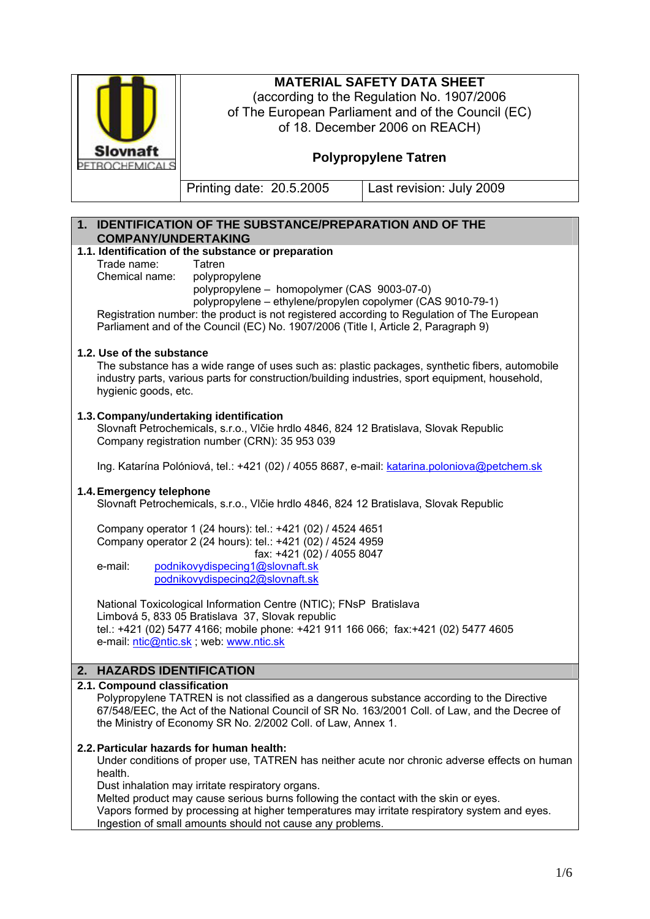| <b>Slovnaft</b><br>PETROCHEMICALS                                                                                                                                                                                                                                                                    | <b>MATERIAL SAFETY DATA SHEET</b><br>(according to the Regulation No. 1907/2006)<br>of The European Parliament and of the Council (EC)<br>of 18. December 2006 on REACH)<br><b>Polypropylene Tatren</b> |                                                                                            |  |
|------------------------------------------------------------------------------------------------------------------------------------------------------------------------------------------------------------------------------------------------------------------------------------------------------|---------------------------------------------------------------------------------------------------------------------------------------------------------------------------------------------------------|--------------------------------------------------------------------------------------------|--|
|                                                                                                                                                                                                                                                                                                      | Printing date: 20.5.2005                                                                                                                                                                                | Last revision: July 2009                                                                   |  |
| 1. IDENTIFICATION OF THE SUBSTANCE/PREPARATION AND OF THE                                                                                                                                                                                                                                            |                                                                                                                                                                                                         |                                                                                            |  |
| <b>COMPANY/UNDERTAKING</b>                                                                                                                                                                                                                                                                           | 1.1. Identification of the substance or preparation                                                                                                                                                     |                                                                                            |  |
| Trade name:                                                                                                                                                                                                                                                                                          | Tatren                                                                                                                                                                                                  |                                                                                            |  |
| Chemical name:                                                                                                                                                                                                                                                                                       | polypropylene<br>polypropylene - homopolymer (CAS 9003-07-0)                                                                                                                                            |                                                                                            |  |
|                                                                                                                                                                                                                                                                                                      | polypropylene – ethylene/propylen copolymer (CAS 9010-79-1)                                                                                                                                             | Registration number: the product is not registered according to Regulation of The European |  |
|                                                                                                                                                                                                                                                                                                      | Parliament and of the Council (EC) No. 1907/2006 (Title I, Article 2, Paragraph 9)                                                                                                                      |                                                                                            |  |
| 1.2. Use of the substance<br>The substance has a wide range of uses such as: plastic packages, synthetic fibers, automobile<br>industry parts, various parts for construction/building industries, sport equipment, household,<br>hygienic goods, etc.                                               |                                                                                                                                                                                                         |                                                                                            |  |
| 1.3. Company/undertaking identification<br>Slovnaft Petrochemicals, s.r.o., Vlčie hrdlo 4846, 824 12 Bratislava, Slovak Republic<br>Company registration number (CRN): 35 953 039                                                                                                                    |                                                                                                                                                                                                         |                                                                                            |  |
| Ing. Katarína Polóniová, tel.: +421 (02) / 4055 8687, e-mail: katarina.poloniova@petchem.sk                                                                                                                                                                                                          |                                                                                                                                                                                                         |                                                                                            |  |
| 1.4. Emergency telephone<br>Slovnaft Petrochemicals, s.r.o., Vlčie hrdlo 4846, 824 12 Bratislava, Slovak Republic                                                                                                                                                                                    |                                                                                                                                                                                                         |                                                                                            |  |
|                                                                                                                                                                                                                                                                                                      | Company operator 1 (24 hours): tel.: +421 (02) / 4524 4651<br>Company operator 2 (24 hours): tel.: +421 (02) / 4524 4959                                                                                |                                                                                            |  |
| e-mail:                                                                                                                                                                                                                                                                                              | fax: +421 (02) / 4055 8047<br>podnikovydispecing1@slovnaft.sk                                                                                                                                           |                                                                                            |  |
|                                                                                                                                                                                                                                                                                                      | podnikovydispecing2@slovnaft.sk                                                                                                                                                                         |                                                                                            |  |
|                                                                                                                                                                                                                                                                                                      | National Toxicological Information Centre (NTIC); FNsP Bratislava<br>Limbová 5, 833 05 Bratislava 37, Slovak republic                                                                                   |                                                                                            |  |
|                                                                                                                                                                                                                                                                                                      | tel.: +421 (02) 5477 4166; mobile phone: +421 911 166 066; fax:+421 (02) 5477 4605<br>e-mail: ntic@ntic.sk; web: www.ntic.sk                                                                            |                                                                                            |  |
|                                                                                                                                                                                                                                                                                                      |                                                                                                                                                                                                         |                                                                                            |  |
| 2. HAZARDS IDENTIFICATION<br>2.1. Compound classification                                                                                                                                                                                                                                            |                                                                                                                                                                                                         |                                                                                            |  |
| Polypropylene TATREN is not classified as a dangerous substance according to the Directive<br>67/548/EEC, the Act of the National Council of SR No. 163/2001 Coll. of Law, and the Decree of<br>the Ministry of Economy SR No. 2/2002 Coll. of Law, Annex 1.                                         |                                                                                                                                                                                                         |                                                                                            |  |
| 2.2. Particular hazards for human health:<br>Under conditions of proper use, TATREN has neither acute nor chronic adverse effects on human<br>health.                                                                                                                                                |                                                                                                                                                                                                         |                                                                                            |  |
| Dust inhalation may irritate respiratory organs.<br>Melted product may cause serious burns following the contact with the skin or eyes.<br>Vapors formed by processing at higher temperatures may irritate respiratory system and eyes.<br>Ingestion of small amounts should not cause any problems. |                                                                                                                                                                                                         |                                                                                            |  |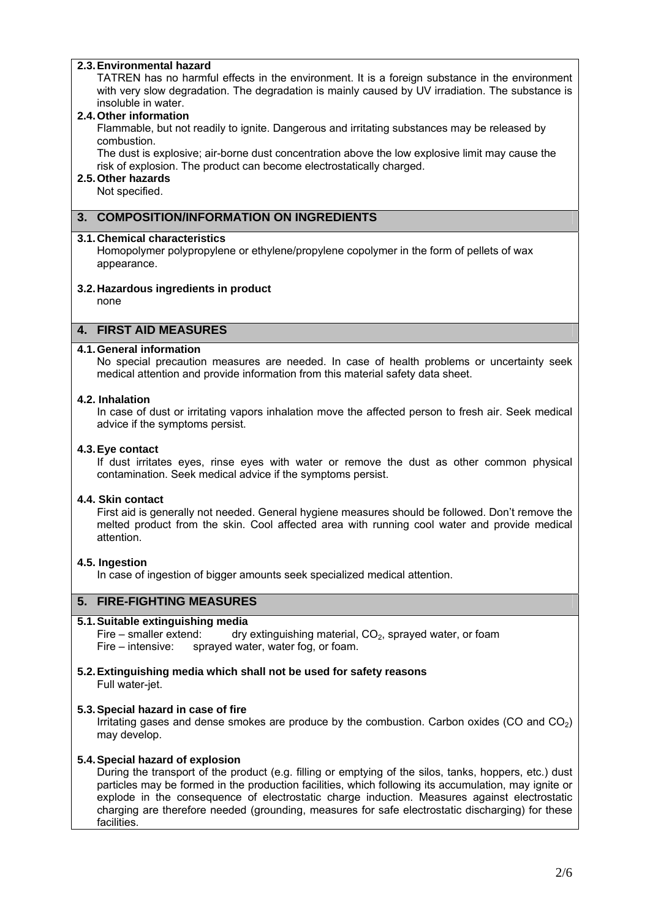## **2.3. Environmental hazard**

TATREN has no harmful effects in the environment. It is a foreign substance in the environment with very slow degradation. The degradation is mainly caused by UV irradiation. The substance is insoluble in water.

#### **2.4. Other information**

Flammable, but not readily to ignite. Dangerous and irritating substances may be released by combustion.

 The dust is explosive; air-borne dust concentration above the low explosive limit may cause the risk of explosion. The product can become electrostatically charged.

#### **2.5. Other hazards**

Not specified.

## **3. COMPOSITION/INFORMATION ON INGREDIENTS**

#### **3.1. Chemical characteristics**

 Homopolymer polypropylene or ethylene/propylene copolymer in the form of pellets of wax appearance.

#### **3.2. Hazardous ingredients in product**

none

## **4. FIRST AID MEASURES**

#### **4.1. General information**

 No special precaution measures are needed. In case of health problems or uncertainty seek medical attention and provide information from this material safety data sheet.

#### **4.2. Inhalation**

 In case of dust or irritating vapors inhalation move the affected person to fresh air. Seek medical advice if the symptoms persist.

#### **4.3. Eye contact**

 If dust irritates eyes, rinse eyes with water or remove the dust as other common physical contamination. Seek medical advice if the symptoms persist.

#### **4.4. Skin contact**

First aid is generally not needed. General hygiene measures should be followed. Don't remove the melted product from the skin. Cool affected area with running cool water and provide medical attention.

#### **4.5. Ingestion**

In case of ingestion of bigger amounts seek specialized medical attention.

#### **5. FIRE-FIGHTING MEASURES**

#### **5.1. Suitable extinguishing media**

Fire – smaller extend: dry extinguishing material,  $CO<sub>2</sub>$ , sprayed water, or foam<br>Fire – intensive: sprayed water, water foa, or foam. sprayed water, water fog, or foam.

#### **5.2. Extinguishing media which shall not be used for safety reasons**  Full water-jet.

#### **5.3. Special hazard in case of fire**

Irritating gases and dense smokes are produce by the combustion. Carbon oxides  $(CO \text{ and } CO<sub>2</sub>)$ may develop.

#### **5.4. Special hazard of explosion**

During the transport of the product (e.g. filling or emptying of the silos, tanks, hoppers, etc.) dust particles may be formed in the production facilities, which following its accumulation, may ignite or explode in the consequence of electrostatic charge induction. Measures against electrostatic charging are therefore needed (grounding, measures for safe electrostatic discharging) for these facilities.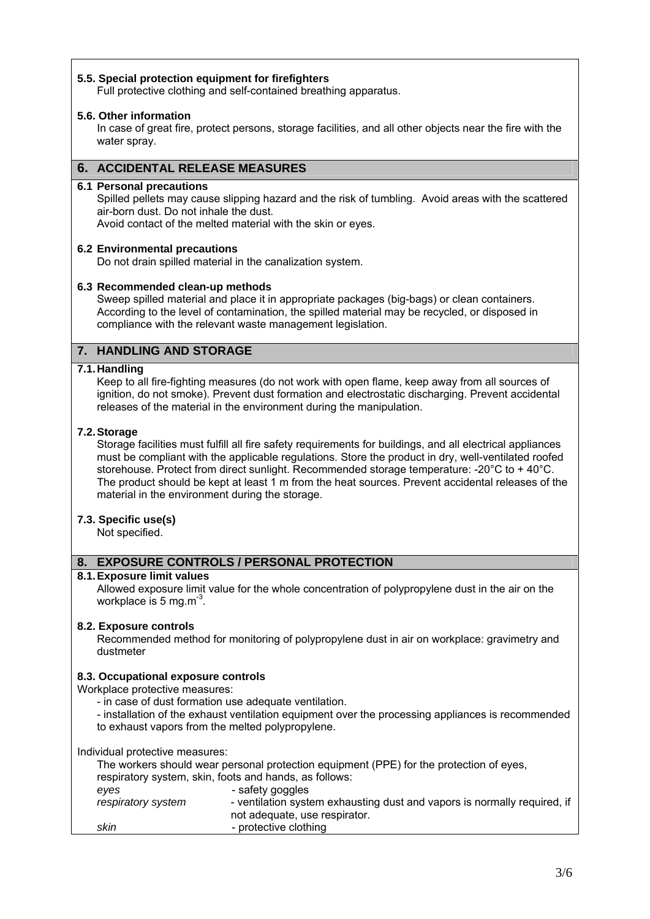## **5.5. Special protection equipment for firefighters**

Full protective clothing and self-contained breathing apparatus.

#### **5.6. Other information**

 In case of great fire, protect persons, storage facilities, and all other objects near the fire with the water spray.

## **6. ACCIDENTAL RELEASE MEASURES**

#### **6.1 Personal precautions**

Spilled pellets may cause slipping hazard and the risk of tumbling. Avoid areas with the scattered air-born dust. Do not inhale the dust.

Avoid contact of the melted material with the skin or eyes.

#### **6.2 Environmental precautions**

Do not drain spilled material in the canalization system.

#### **6.3 Recommended clean-up methods**

Sweep spilled material and place it in appropriate packages (big-bags) or clean containers. According to the level of contamination, the spilled material may be recycled, or disposed in compliance with the relevant waste management legislation.

## **7. HANDLING AND STORAGE**

#### **7.1. Handling**

Keep to all fire-fighting measures (do not work with open flame, keep away from all sources of ignition, do not smoke). Prevent dust formation and electrostatic discharging. Prevent accidental releases of the material in the environment during the manipulation.

#### **7.2. Storage**

Storage facilities must fulfill all fire safety requirements for buildings, and all electrical appliances must be compliant with the applicable regulations. Store the product in dry, well-ventilated roofed storehouse. Protect from direct sunlight. Recommended storage temperature: -20°C to + 40°C. The product should be kept at least 1 m from the heat sources. Prevent accidental releases of the material in the environment during the storage.

#### **7.3. Specific use(s)**

Not specified.

#### **8. EXPOSURE CONTROLS / PERSONAL PROTECTION**

#### **8.1. Exposure limit values**

 Allowed exposure limit value for the whole concentration of polypropylene dust in the air on the workplace is 5 mg.m<sup>-3</sup>.

#### **8.2. Exposure controls**

 Recommended method for monitoring of polypropylene dust in air on workplace: gravimetry and dustmeter

#### **8.3. Occupational exposure controls**

Workplace protective measures:

- in case of dust formation use adequate ventilation.

 - installation of the exhaust ventilation equipment over the processing appliances is recommended to exhaust vapors from the melted polypropylene.

Individual protective measures:

|                            | The workers should wear personal protection equipment (PPE) for the protection of eyes,<br>respiratory system, skin, foots and hands, as follows: |
|----------------------------|---------------------------------------------------------------------------------------------------------------------------------------------------|
| eves<br>respiratory system | - safety goggles<br>- ventilation system exhausting dust and vapors is normally required, if<br>not adequate, use respirator.                     |
| skin                       | - protective clothing                                                                                                                             |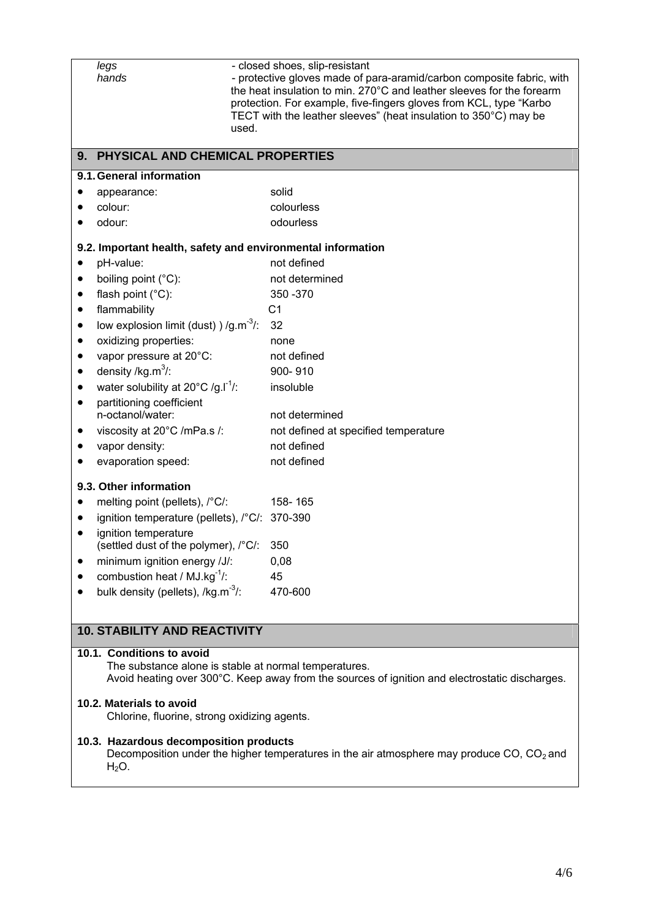| legs<br>hands                                                                                                                                                                        | - closed shoes, slip-resistant<br>- protective gloves made of para-aramid/carbon composite fabric, with<br>the heat insulation to min. 270°C and leather sleeves for the forearm<br>protection. For example, five-fingers gloves from KCL, type "Karbo"<br>TECT with the leather sleeves" (heat insulation to 350°C) may be<br>used. |  |  |
|--------------------------------------------------------------------------------------------------------------------------------------------------------------------------------------|--------------------------------------------------------------------------------------------------------------------------------------------------------------------------------------------------------------------------------------------------------------------------------------------------------------------------------------|--|--|
| PHYSICAL AND CHEMICAL PROPERTIES<br>9.                                                                                                                                               |                                                                                                                                                                                                                                                                                                                                      |  |  |
| 9.1. General information                                                                                                                                                             |                                                                                                                                                                                                                                                                                                                                      |  |  |
| appearance:<br>$\bullet$                                                                                                                                                             | solid                                                                                                                                                                                                                                                                                                                                |  |  |
| colour:                                                                                                                                                                              | colourless                                                                                                                                                                                                                                                                                                                           |  |  |
| odour:                                                                                                                                                                               | odourless                                                                                                                                                                                                                                                                                                                            |  |  |
| 9.2. Important health, safety and environmental information                                                                                                                          |                                                                                                                                                                                                                                                                                                                                      |  |  |
| pH-value:<br>$\bullet$                                                                                                                                                               | not defined                                                                                                                                                                                                                                                                                                                          |  |  |
| boiling point (°C):                                                                                                                                                                  | not determined                                                                                                                                                                                                                                                                                                                       |  |  |
| flash point (°C):<br>$\bullet$                                                                                                                                                       | 350 - 370                                                                                                                                                                                                                                                                                                                            |  |  |
| flammability<br>$\bullet$                                                                                                                                                            | C <sub>1</sub>                                                                                                                                                                                                                                                                                                                       |  |  |
| low explosion limit (dust) ) $/g.m^{-3}$ :<br>٠                                                                                                                                      | 32                                                                                                                                                                                                                                                                                                                                   |  |  |
| oxidizing properties:<br>$\bullet$                                                                                                                                                   | none                                                                                                                                                                                                                                                                                                                                 |  |  |
| vapor pressure at 20°C:<br>٠                                                                                                                                                         | not defined                                                                                                                                                                                                                                                                                                                          |  |  |
| density / $kg.m^3/$ :<br>$\bullet$                                                                                                                                                   | 900-910                                                                                                                                                                                                                                                                                                                              |  |  |
| water solubility at $20^{\circ}$ C /g.I <sup>-1</sup> /:<br>$\bullet$                                                                                                                | insoluble                                                                                                                                                                                                                                                                                                                            |  |  |
| partitioning coefficient<br>$\bullet$<br>n-octanol/water:                                                                                                                            | not determined                                                                                                                                                                                                                                                                                                                       |  |  |
| viscosity at 20°C /mPa.s /:                                                                                                                                                          | not defined at specified temperature                                                                                                                                                                                                                                                                                                 |  |  |
| vapor density:                                                                                                                                                                       | not defined                                                                                                                                                                                                                                                                                                                          |  |  |
| evaporation speed:                                                                                                                                                                   | not defined                                                                                                                                                                                                                                                                                                                          |  |  |
| 9.3. Other information                                                                                                                                                               |                                                                                                                                                                                                                                                                                                                                      |  |  |
| melting point (pellets), /°C/:<br>$\bullet$                                                                                                                                          | 158-165                                                                                                                                                                                                                                                                                                                              |  |  |
| ignition temperature (pellets), /°C/: 370-390<br>$\bullet$                                                                                                                           |                                                                                                                                                                                                                                                                                                                                      |  |  |
| ignition temperature<br>$\bullet$                                                                                                                                                    |                                                                                                                                                                                                                                                                                                                                      |  |  |
| (settled dust of the polymer), /°C/: 350                                                                                                                                             |                                                                                                                                                                                                                                                                                                                                      |  |  |
| minimum ignition energy /J/:<br>combustion heat / MJ.kg <sup>-1</sup> /:                                                                                                             | 0,08<br>45                                                                                                                                                                                                                                                                                                                           |  |  |
| bulk density (pellets), /kg.m <sup>-3</sup> /:                                                                                                                                       | 470-600                                                                                                                                                                                                                                                                                                                              |  |  |
|                                                                                                                                                                                      |                                                                                                                                                                                                                                                                                                                                      |  |  |
| <b>10. STABILITY AND REACTIVITY</b>                                                                                                                                                  |                                                                                                                                                                                                                                                                                                                                      |  |  |
|                                                                                                                                                                                      |                                                                                                                                                                                                                                                                                                                                      |  |  |
| 10.1. Conditions to avoid<br>The substance alone is stable at normal temperatures.<br>Avoid heating over 300°C. Keep away from the sources of ignition and electrostatic discharges. |                                                                                                                                                                                                                                                                                                                                      |  |  |
| 10.2. Materials to avoid<br>Chlorine, fluorine, strong oxidizing agents.                                                                                                             |                                                                                                                                                                                                                                                                                                                                      |  |  |
| 10.3. Hazardous decomposition products<br>Decomposition under the higher temperatures in the air atmosphere may produce CO, CO <sub>2</sub> and<br>$H2O$ .                           |                                                                                                                                                                                                                                                                                                                                      |  |  |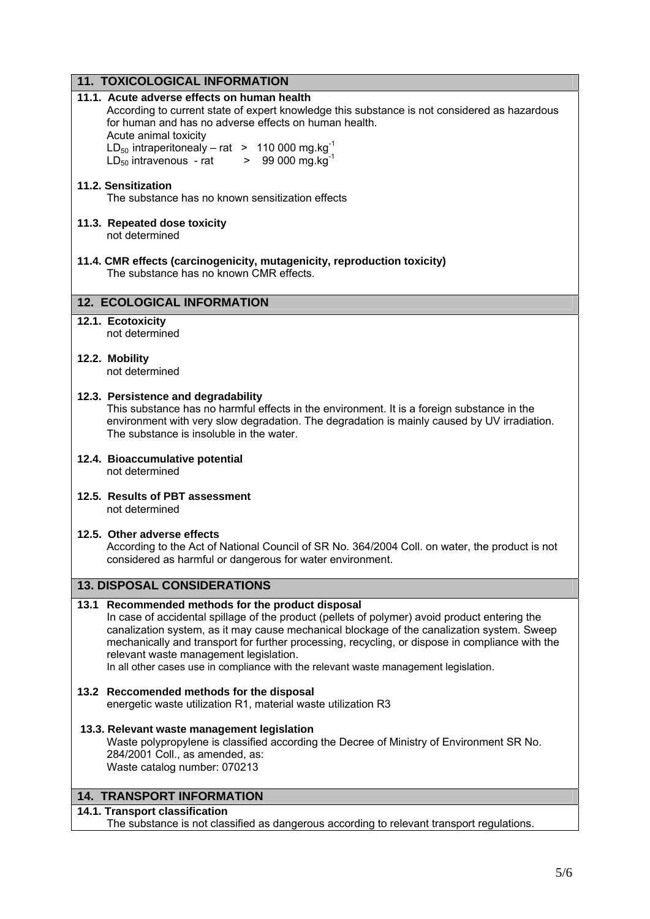# **11. TOXICOLOGICAL INFORMATION 11.1. Acute adverse effects on human health**  According to current state of expert knowledge this substance is not considered as hazardous for human and has no adverse effects on human health. Acute animal toxicity LD<sub>50</sub> intraperitonealy – rat  $\geq 110000$  mg.kg<sup>-1</sup>  $LD_{50}$  intravenous - rat  $\qquad \qquad$  > 99 000 mg.kg **11.2. Sensitization**  The substance has no known sensitization effects **11.3. Repeated dose toxicity**  not determined **11.4. CMR effects (carcinogenicity, mutagenicity, reproduction toxicity)**  The substance has no known CMR effects. **12. ECOLOGICAL INFORMATION 12.1. Ecotoxicity**  not determined **12.2. Mobility**  not determined **12.3. Persistence and degradability**  This substance has no harmful effects in the environment. It is a foreign substance in the environment with very slow degradation. The degradation is mainly caused by UV irradiation. The substance is insoluble in the water. **12.4. Bioaccumulative potential**  not determined **12.5. Results of PBT assessment**  not determined **12.5. Other adverse effects**  According to the Act of National Council of SR No. 364/2004 Coll. on water, the product is not considered as harmful or dangerous for water environment. **13. DISPOSAL CONSIDERATIONS 13.1 Recommended methods for the product disposal**  In case of accidental spillage of the product (pellets of polymer) avoid product entering the canalization system, as it may cause mechanical blockage of the canalization system. Sweep mechanically and transport for further processing, recycling, or dispose in compliance with the relevant waste management legislation. In all other cases use in compliance with the relevant waste management legislation. **13.2 Reccomended methods for the disposal**  energetic waste utilization R1, material waste utilization R3 **13.3. Relevant waste management legislation**  Waste polypropylene is classified according the Decree of Ministry of Environment SR No. 284/2001 Coll., as amended, as: Waste catalog number: 070213 **14. TRANSPORT INFORMATION 14.1. Transport classification**  The substance is not classified as dangerous according to relevant transport regulations.